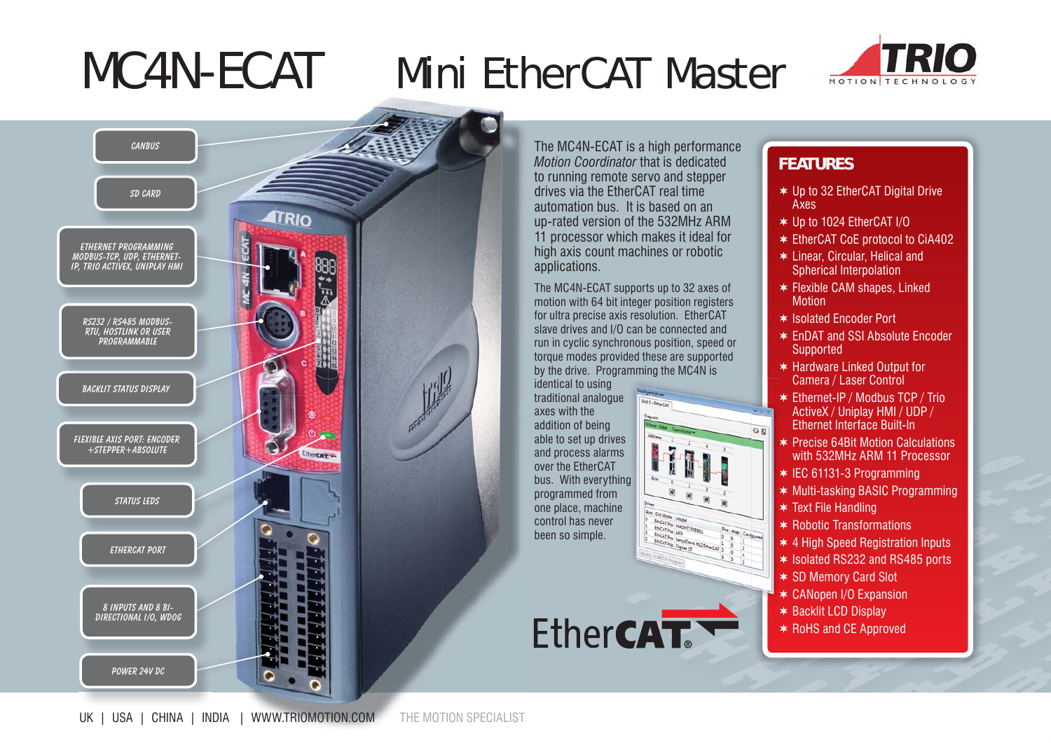## MC4N-ECAT Mini EtherCAT Master





The MC4N-ECAT is a high performance *Motion Coordinator* that is dedicated to running remote servo and stepper drives via the EtherCAT real time automation bus. It is based on an up-rated version of the 532MHz ARM 11 processor which makes it ideal for high axis count machines or robotic applications.

The MC4N-ECAT supports up to 32 axes of motion with 64 bit integer position registers for ultra precise axis resolution. EtherCAT slave drives and I/O can be connected and run in cyclic synchronous position, speed or torque modes provided these are supported by the drive. Programming the MC4N is

identical to using traditional analogue axes with the addition of being able to set up drives and process alarms over the EtherCAT bus. With everything g programmed from one place, machine control has never been so simple.

Ether**CAT.** 

## **FEATURES**

- Up to 32 EtherCAT Digital Drive Axes
- Up to 1024 EtherCAT I/O
- EtherCAT CoE protocol to CiA402
- Linear, Circular, Helical and Spherical Interpolation
- Flexible CAM shapes, Linked **Motion**
- \* Isolated Encoder Port
- EnDAT and SSI Absolute Encoder **Supported**
- Hardware Linked Output for Camera / Laser Control
- Ethernet-IP / Modbus TCP / Trio ActiveX / Uniplay HMI / UDP / Ethernet Interface Built-In
- Precise 64Bit Motion Calculations with 532MHz ARM 11 Processor
- $*$  IEC 61131-3 Programming
- Multi-tasking BASIC Programming
- $*$  Text File Handling

 $90$ 

- $*$  Robotic Transformations
- 4 High Speed Registration Inputs
- \* Isolated RS232 and RS485 ports
- SD Memory Card Slot
- CANopen I/O Expansion
- $\ast$  Backlit LCD Display
- $*$  RoHS and CE Approved